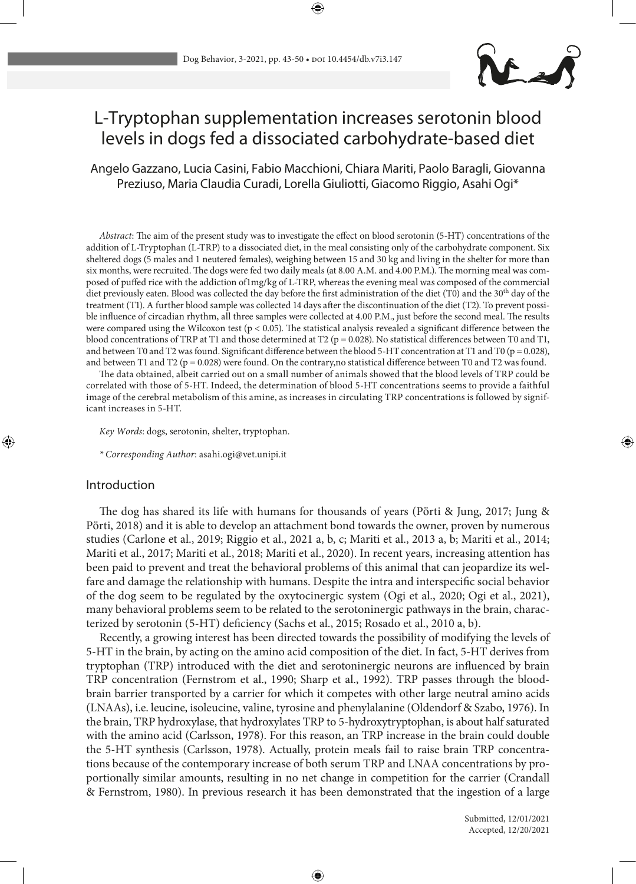

# L-Tryptophan supplementation increases serotonin blood levels in dogs fed a dissociated carbohydrate-based diet

Angelo Gazzano, Lucia Casini, Fabio Macchioni, Chiara Mariti, Paolo Baragli, Giovanna Preziuso, Maria Claudia Curadi, Lorella Giuliotti, Giacomo Riggio, Asahi Ogi\*

*Abstract*: The aim of the present study was to investigate the effect on blood serotonin (5-HT) concentrations of the addition of L-Tryptophan (L-TRP) to a dissociated diet, in the meal consisting only of the carbohydrate component. Six sheltered dogs (5 males and 1 neutered females), weighing between 15 and 30 kg and living in the shelter for more than six months, were recruited. The dogs were fed two daily meals (at 8.00 A.M. and 4.00 P.M.). The morning meal was composed of puffed rice with the addiction of1mg/kg of L-TRP, whereas the evening meal was composed of the commercial diet previously eaten. Blood was collected the day before the first administration of the diet (T0) and the 30<sup>th</sup> day of the treatment (T1). A further blood sample was collected 14 days after the discontinuation of the diet (T2). To prevent possible influence of circadian rhythm, all three samples were collected at 4.00 P.M., just before the second meal. The results were compared using the Wilcoxon test (p < 0.05). The statistical analysis revealed a significant difference between the blood concentrations of TRP at T1 and those determined at T2 ( $p = 0.028$ ). No statistical differences between T0 and T1, and between T0 and T2 was found. Significant difference between the blood 5-HT concentration at T1 and T0 ( $p = 0.028$ ), and between T1 and T2 ( $p = 0.028$ ) were found. On the contrary, no statistical difference between T0 and T2 was found.

The data obtained, albeit carried out on a small number of animals showed that the blood levels of TRP could be correlated with those of 5-HT. Indeed, the determination of blood 5-HT concentrations seems to provide a faithful image of the cerebral metabolism of this amine, as increases in circulating TRP concentrations is followed by significant increases in 5-HT.

*Key Words*: dogs, serotonin, shelter, tryptophan.

*\* Corresponding Author*: asahi.ogi@vet.unipi.it

## Introduction

The dog has shared its life with humans for thousands of years (Pӧrti & Jung, 2017; Jung & Pӧrti, 2018) and it is able to develop an attachment bond towards the owner, proven by numerous studies (Carlone et al., 2019; Riggio et al., 2021 a, b, c; Mariti et al., 2013 a, b; Mariti et al., 2014; Mariti et al., 2017; Mariti et al., 2018; Mariti et al., 2020). In recent years, increasing attention has been paid to prevent and treat the behavioral problems of this animal that can jeopardize its welfare and damage the relationship with humans. Despite the intra and interspecific social behavior of the dog seem to be regulated by the oxytocinergic system (Ogi et al., 2020; Ogi et al., 2021), many behavioral problems seem to be related to the serotoninergic pathways in the brain, characterized by serotonin (5-HT) deficiency (Sachs et al., 2015; Rosado et al., 2010 a, b).

Recently, a growing interest has been directed towards the possibility of modifying the levels of 5-HT in the brain, by acting on the amino acid composition of the diet. In fact, 5-HT derives from tryptophan (TRP) introduced with the diet and serotoninergic neurons are influenced by brain TRP concentration (Fernstrom et al., 1990; Sharp et al., 1992). TRP passes through the bloodbrain barrier transported by a carrier for which it competes with other large neutral amino acids (LNAAs), i.e. leucine, isoleucine, valine, tyrosine and phenylalanine (Oldendorf & Szabo, 1976). In the brain, TRP hydroxylase, that hydroxylates TRP to 5-hydroxytryptophan, is about half saturated with the amino acid (Carlsson, 1978). For this reason, an TRP increase in the brain could double the 5-HT synthesis (Carlsson, 1978). Actually, protein meals fail to raise brain TRP concentrations because of the contemporary increase of both serum TRP and LNAA concentrations by proportionally similar amounts, resulting in no net change in competition for the carrier (Crandall & Fernstrom, 1980). In previous research it has been demonstrated that the ingestion of a large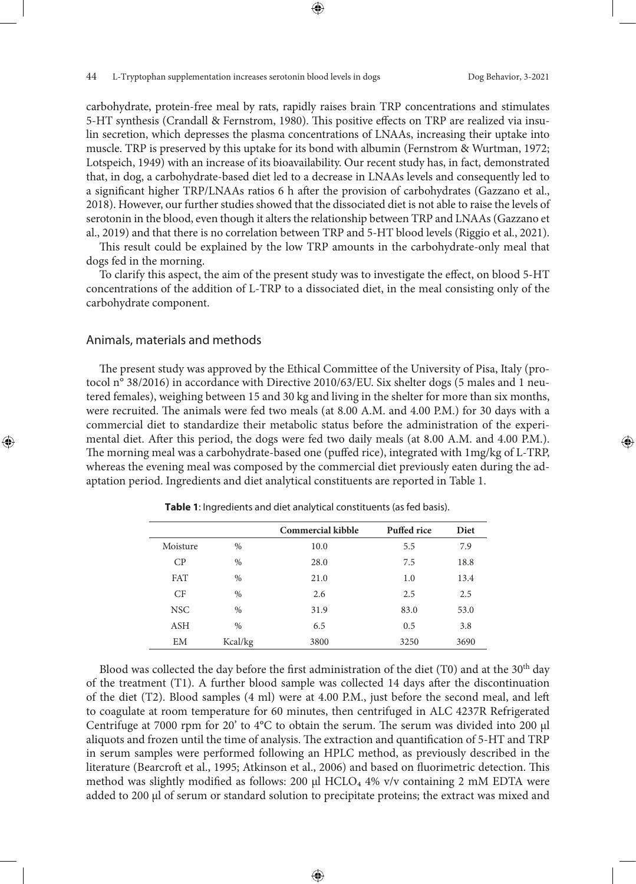carbohydrate, protein-free meal by rats, rapidly raises brain TRP concentrations and stimulates 5-HT synthesis (Crandall & Fernstrom, 1980). This positive effects on TRP are realized via insulin secretion, which depresses the plasma concentrations of LNAAs, increasing their uptake into muscle. TRP is preserved by this uptake for its bond with albumin (Fernstrom & Wurtman, 1972; Lotspeich, 1949) with an increase of its bioavailability. Our recent study has, in fact, demonstrated that, in dog, a carbohydrate-based diet led to a decrease in LNAAs levels and consequently led to a significant higher TRP/LNAAs ratios 6 h after the provision of carbohydrates (Gazzano et al., 2018). However, our further studies showed that the dissociated diet is not able to raise the levels of serotonin in the blood, even though it alters the relationship between TRP and LNAAs (Gazzano et al., 2019) and that there is no correlation between TRP and 5-HT blood levels (Riggio et al., 2021).

This result could be explained by the low TRP amounts in the carbohydrate-only meal that dogs fed in the morning.

To clarify this aspect, the aim of the present study was to investigate the effect, on blood 5-HT concentrations of the addition of L-TRP to a dissociated diet, in the meal consisting only of the carbohydrate component.

## Animals, materials and methods

The present study was approved by the Ethical Committee of the University of Pisa, Italy (protocol n° 38/2016) in accordance with Directive 2010/63/EU. Six shelter dogs (5 males and 1 neutered females), weighing between 15 and 30 kg and living in the shelter for more than six months, were recruited. The animals were fed two meals (at 8.00 A.M. and 4.00 P.M.) for 30 days with a commercial diet to standardize their metabolic status before the administration of the experimental diet. After this period, the dogs were fed two daily meals (at 8.00 A.M. and 4.00 P.M.). The morning meal was a carbohydrate-based one (puffed rice), integrated with 1mg/kg of L-TRP, whereas the evening meal was composed by the commercial diet previously eaten during the adaptation period. Ingredients and diet analytical constituents are reported in Table 1.

|            |         | <b>Commercial kibble</b> | Puffed rice | Diet |
|------------|---------|--------------------------|-------------|------|
| Moisture   | $\%$    | 10.0                     | 5.5         | 7.9  |
| CP         | $\%$    | 28.0                     | 7.5         | 18.8 |
| <b>FAT</b> | $\%$    | 21.0                     | 1.0         | 13.4 |
| CF         | $\%$    | 2.6                      | 2.5         | 2.5  |
| <b>NSC</b> | $\%$    | 31.9                     | 83.0        | 53.0 |
| ASH        | $\%$    | 6.5                      | 0.5         | 3.8  |
| EM         | Kcal/kg | 3800                     | 3250        | 3690 |

 **Table 1**: Ingredients and diet analytical constituents (as fed basis).

Blood was collected the day before the first administration of the diet (T0) and at the  $30<sup>th</sup>$  day of the treatment (T1). A further blood sample was collected 14 days after the discontinuation of the diet (T2). Blood samples (4 ml) were at 4.00 P.M., just before the second meal, and left to coagulate at room temperature for 60 minutes, then centrifuged in ALC 4237R Refrigerated Centrifuge at 7000 rpm for 20' to 4°C to obtain the serum. The serum was divided into 200 μl aliquots and frozen until the time of analysis. The extraction and quantification of 5-HT and TRP in serum samples were performed following an HPLC method, as previously described in the literature (Bearcroft et al., 1995; Atkinson et al., 2006) and based on fluorimetric detection. This method was slightly modified as follows: 200 μl HCLO<sub>4</sub> 4% v/v containing 2 mM EDTA were added to 200 μl of serum or standard solution to precipitate proteins; the extract was mixed and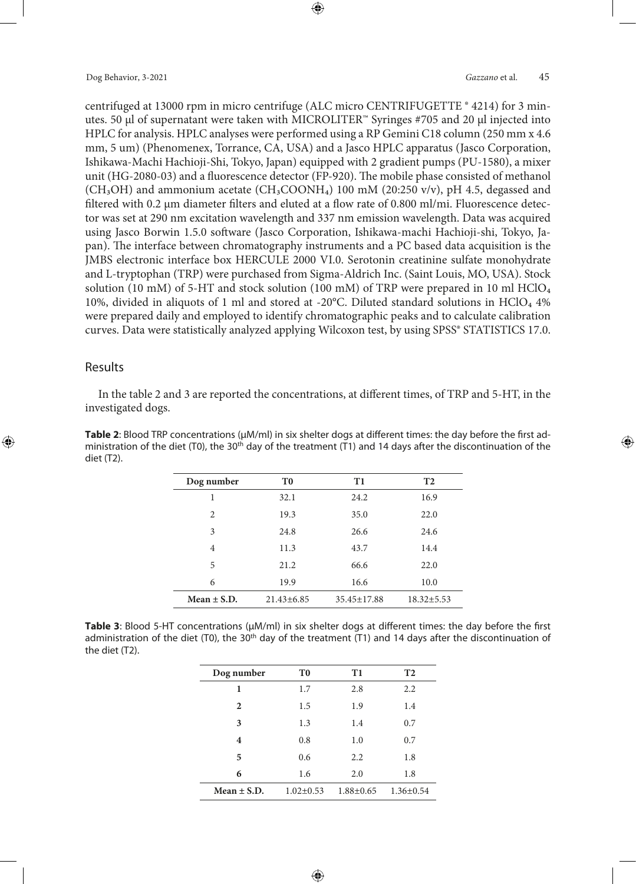centrifuged at 13000 rpm in micro centrifuge (ALC micro CENTRIFUGETTE ® 4214) for 3 minutes. 50 μl of supernatant were taken with MICROLITER™ Syringes #705 and 20 μl injected into HPLC for analysis. HPLC analyses were performed using a RP Gemini C18 column (250 mm x 4.6 mm, 5 um) (Phenomenex, Torrance, CA, USA) and a Jasco HPLC apparatus (Jasco Corporation, Ishikawa-Machi Hachioji-Shi, Tokyo, Japan) equipped with 2 gradient pumps (PU-1580), a mixer unit (HG-2080-03) and a fluorescence detector (FP-920). The mobile phase consisted of methanol (CH<sub>3</sub>OH) and ammonium acetate (CH<sub>3</sub>COONH<sub>4</sub>) 100 mM (20:250 v/v), pH 4.5, degassed and filtered with 0.2 μm diameter filters and eluted at a flow rate of 0.800 ml/mi. Fluorescence detector was set at 290 nm excitation wavelength and 337 nm emission wavelength. Data was acquired using Jasco Borwin 1.5.0 software (Jasco Corporation, Ishikawa-machi Hachioji-shi, Tokyo, Japan). The interface between chromatography instruments and a PC based data acquisition is the JMBS electronic interface box HERCULE 2000 VI.0. Serotonin creatinine sulfate monohydrate and L-tryptophan (TRP) were purchased from Sigma-Aldrich Inc. (Saint Louis, MO, USA). Stock solution (10 mM) of 5-HT and stock solution (100 mM) of TRP were prepared in 10 ml HClO<sub>4</sub> 10%, divided in aliquots of 1 ml and stored at -20 $^{\circ}$ C. Diluted standard solutions in HClO<sub>4</sub> 4% were prepared daily and employed to identify chromatographic peaks and to calculate calibration curves. Data were statistically analyzed applying Wilcoxon test, by using SPSS® STATISTICS 17.0.

# Results

In the table 2 and 3 are reported the concentrations, at different times, of TRP and 5-HT, in the investigated dogs.

**Table 2**: Blood TRP concentrations (μM/ml) in six shelter dogs at different times: the day before the first administration of the diet (T0), the 30<sup>th</sup> day of the treatment (T1) and 14 days after the discontinuation of the diet (T2).

| T0<br>32.1      | T1<br>24.2        | T <sub>2</sub>   |
|-----------------|-------------------|------------------|
|                 |                   |                  |
|                 |                   | 16.9             |
| 19.3            | 35.0              | 22.0             |
| 24.8            | 26.6              | 24.6             |
| 11.3            | 43.7              | 14.4             |
| 21.2            | 66.6              | 22.0             |
| 19.9            | 16.6              | 10.0             |
| $21.43\pm 6.85$ | $35.45 \pm 17.88$ | $18.32 \pm 5.53$ |
|                 |                   |                  |

**Table 3**: Blood 5-HT concentrations (μM/ml) in six shelter dogs at different times: the day before the first administration of the diet (T0), the 30<sup>th</sup> day of the treatment (T1) and 14 days after the discontinuation of the diet (T2).

| Dog number      | T <sub>0</sub>  | T1              | <b>T2</b>       |
|-----------------|-----------------|-----------------|-----------------|
| 1               | 1.7             | 2.8             | 2.2             |
| $\mathbf{2}$    | 1.5             | 1.9             | 1.4             |
| 3               | 1.3             | 1.4             | 0.7             |
| 4               | 0.8             | 1.0             | 0.7             |
| 5               | 0.6             | 2.2             | 1.8             |
| 6               | 1.6             | 2.0             | 1.8             |
| Mean $\pm$ S.D. | $1.02 \pm 0.53$ | $1.88 \pm 0.65$ | $1.36 \pm 0.54$ |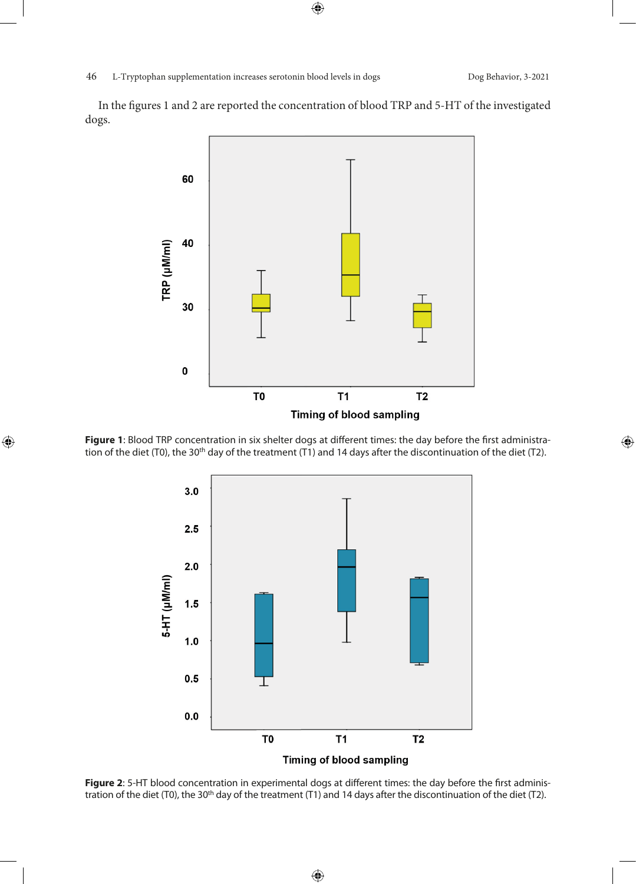In the figures 1 and 2 are reported the concentration of blood TRP and 5-HT of the investigated dogs.



**Figure 1**: Blood TRP concentration in six shelter dogs at different times: the day before the first administration of the diet (T0), the 30<sup>th</sup> day of the treatment (T1) and 14 days after the discontinuation of the diet (T2).



**Figure 2**: 5-HT blood concentration in experimental dogs at different times: the day before the first administration of the diet (T0), the 30<sup>th</sup> day of the treatment (T1) and 14 days after the discontinuation of the diet (T2).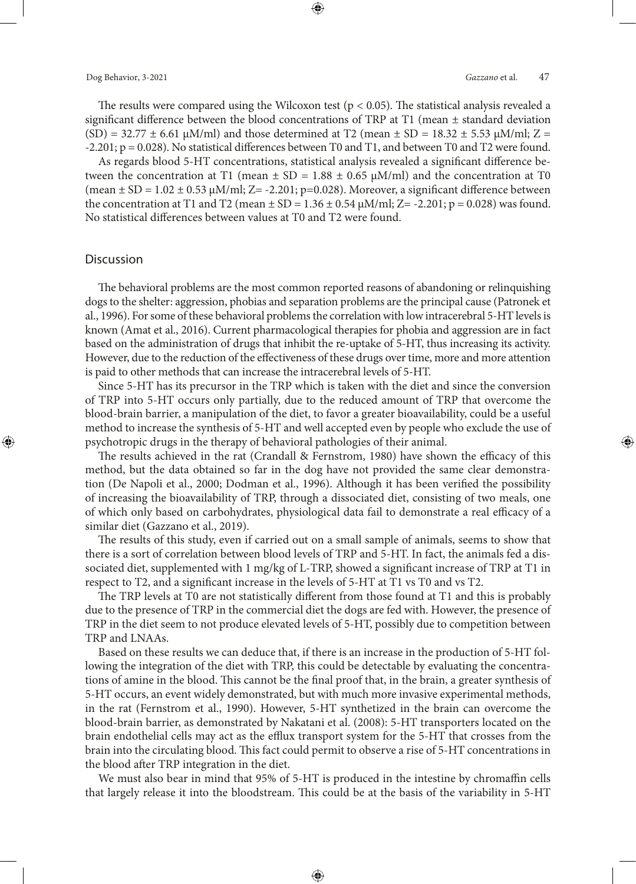The results were compared using the Wilcoxon test ( $p < 0.05$ ). The statistical analysis revealed a significant difference between the blood concentrations of TRP at T1 (mean  $\pm$  standard deviation  $(SD) = 32.77 \pm 6.61 \mu M/ml$  and those determined at T2 (mean  $\pm SD = 18.32 \pm 5.53 \mu M/ml$ ; Z =  $-2.201$ ;  $p = 0.028$ ). No statistical differences between T0 and T1, and between T0 and T2 were found.

As regards blood 5-HT concentrations, statistical analysis revealed a significant difference between the concentration at T1 (mean  $\pm$  SD = 1.88  $\pm$  0.65  $\mu$ M/ml) and the concentration at T0 (mean  $\pm$  SD = 1.02  $\pm$  0.53  $\mu$ M/ml; Z= -2.201; p=0.028). Moreover, a significant difference between the concentration at T1 and T2 (mean  $\pm$  SD = 1.36  $\pm$  0.54  $\mu$ M/ml; Z= -2.201; p = 0.028) was found. No statistical differences between values at T0 and T2 were found.

#### **Discussion**

The behavioral problems are the most common reported reasons of abandoning or relinquishing dogs to the shelter: aggression, phobias and separation problems are the principal cause (Patronek et al., 1996). For some of these behavioral problems the correlation with low intracerebral 5-HT levels is known (Amat et al., 2016). Current pharmacological therapies for phobia and aggression are in fact based on the administration of drugs that inhibit the re-uptake of 5-HT, thus increasing its activity. However, due to the reduction of the effectiveness of these drugs over time, more and more attention is paid to other methods that can increase the intracerebral levels of 5-HT.

Since 5-HT has its precursor in the TRP which is taken with the diet and since the conversion of TRP into 5-HT occurs only partially, due to the reduced amount of TRP that overcome the blood-brain barrier, a manipulation of the diet, to favor a greater bioavailability, could be a useful method to increase the synthesis of 5-HT and well accepted even by people who exclude the use of psychotropic drugs in the therapy of behavioral pathologies of their animal.

The results achieved in the rat (Crandall & Fernstrom, 1980) have shown the efficacy of this method, but the data obtained so far in the dog have not provided the same clear demonstration (De Napoli et al., 2000; Dodman et al., 1996). Although it has been verified the possibility of increasing the bioavailability of TRP, through a dissociated diet, consisting of two meals, one of which only based on carbohydrates, physiological data fail to demonstrate a real efficacy of a similar diet (Gazzano et al., 2019).

The results of this study, even if carried out on a small sample of animals, seems to show that there is a sort of correlation between blood levels of TRP and 5-HT. In fact, the animals fed a dissociated diet, supplemented with 1 mg/kg of L-TRP, showed a significant increase of TRP at T1 in respect to T2, and a significant increase in the levels of 5-HT at T1 vs T0 and vs T2.

The TRP levels at T0 are not statistically different from those found at T1 and this is probably due to the presence of TRP in the commercial diet the dogs are fed with. However, the presence of TRP in the diet seem to not produce elevated levels of 5-HT, possibly due to competition between TRP and LNAAs.

Based on these results we can deduce that, if there is an increase in the production of 5-HT following the integration of the diet with TRP, this could be detectable by evaluating the concentrations of amine in the blood. This cannot be the final proof that, in the brain, a greater synthesis of 5-HT occurs, an event widely demonstrated, but with much more invasive experimental methods, in the rat (Fernstrom et al., 1990). However, 5-HT synthetized in the brain can overcome the blood-brain barrier, as demonstrated by Nakatani et al. (2008): 5-HT transporters located on the brain endothelial cells may act as the efflux transport system for the 5-HT that crosses from the brain into the circulating blood. This fact could permit to observe a rise of 5-HT concentrations in the blood after TRP integration in the diet.

We must also bear in mind that 95% of 5-HT is produced in the intestine by chromaffin cells that largely release it into the bloodstream. This could be at the basis of the variability in 5-HT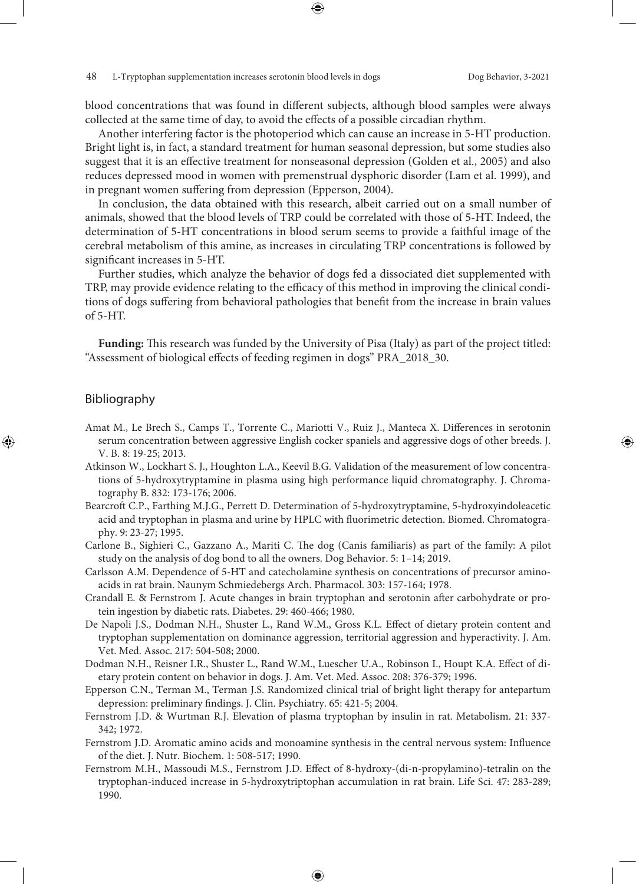blood concentrations that was found in different subjects, although blood samples were always collected at the same time of day, to avoid the effects of a possible circadian rhythm.

Another interfering factor is the photoperiod which can cause an increase in 5-HT production. Bright light is, in fact, a standard treatment for human seasonal depression, but some studies also suggest that it is an effective treatment for nonseasonal depression (Golden et al., 2005) and also reduces depressed mood in women with premenstrual dysphoric disorder (Lam et al. 1999), and in pregnant women suffering from depression (Epperson, 2004).

In conclusion, the data obtained with this research, albeit carried out on a small number of animals, showed that the blood levels of TRP could be correlated with those of 5-HT. Indeed, the determination of 5-HT concentrations in blood serum seems to provide a faithful image of the cerebral metabolism of this amine, as increases in circulating TRP concentrations is followed by significant increases in 5-HT.

Further studies, which analyze the behavior of dogs fed a dissociated diet supplemented with TRP, may provide evidence relating to the efficacy of this method in improving the clinical conditions of dogs suffering from behavioral pathologies that benefit from the increase in brain values of 5-HT.

**Funding:** This research was funded by the University of Pisa (Italy) as part of the project titled: "Assessment of biological effects of feeding regimen in dogs" PRA\_2018\_30.

## Bibliography

- Amat M., Le Brech S., Camps T., Torrente C., Mariotti V., Ruiz J., Manteca X. Differences in serotonin serum concentration between aggressive English cocker spaniels and aggressive dogs of other breeds. J. V. B. 8: 19-25; 2013.
- Atkinson W., Lockhart S. J., Houghton L.A., Keevil B.G. Validation of the measurement of low concentrations of 5-hydroxytryptamine in plasma using high performance liquid chromatography. J. Chromatography B. 832: 173-176; 2006.
- Bearcroft C.P., Farthing M.J.G., Perrett D. Determination of 5‐hydroxytryptamine, 5‐hydroxyindoleacetic acid and tryptophan in plasma and urine by HPLC with fluorimetric detection. Biomed. Chromatography. 9: 23-27; 1995.
- Carlone B., Sighieri C., Gazzano A., Mariti C. The dog (Canis familiaris) as part of the family: A pilot study on the analysis of dog bond to all the owners. Dog Behavior. 5: 1–14; 2019.
- Carlsson A.M. Dependence of 5-HT and catecholamine synthesis on concentrations of precursor aminoacids in rat brain. Naunym Schmiedebergs Arch. Pharmacol. 303: 157-164; 1978.
- Crandall E. & Fernstrom J. Acute changes in brain tryptophan and serotonin after carbohydrate or protein ingestion by diabetic rats. Diabetes. 29: 460-466; 1980.
- De Napoli J.S., Dodman N.H., Shuster L., Rand W.M., Gross K.L. Effect of dietary protein content and tryptophan supplementation on dominance aggression, territorial aggression and hyperactivity. J. Am. Vet. Med. Assoc. 217: 504-508; 2000.
- Dodman N.H., Reisner I.R., Shuster L., Rand W.M., Luescher U.A., Robinson I., Houpt K.A. Effect of dietary protein content on behavior in dogs. J. Am. Vet. Med. Assoc. 208: 376-379; 1996.
- Epperson C.N., Terman M., Terman J.S. Randomized clinical trial of bright light therapy for antepartum depression: preliminary findings. J. Clin. Psychiatry. 65: 421-5; 2004.
- Fernstrom J.D. & Wurtman R.J. Elevation of plasma tryptophan by insulin in rat. Metabolism. 21: 337- 342; 1972.
- Fernstrom J.D. Aromatic amino acids and monoamine synthesis in the central nervous system: Influence of the diet. J. Nutr. Biochem. 1: 508-517; 1990.
- Fernstrom M.H., Massoudi M.S., Fernstrom J.D. Effect of 8-hydroxy-(di-n-propylamino)-tetralin on the tryptophan-induced increase in 5-hydroxytriptophan accumulation in rat brain. Life Sci. 47: 283-289; 1990.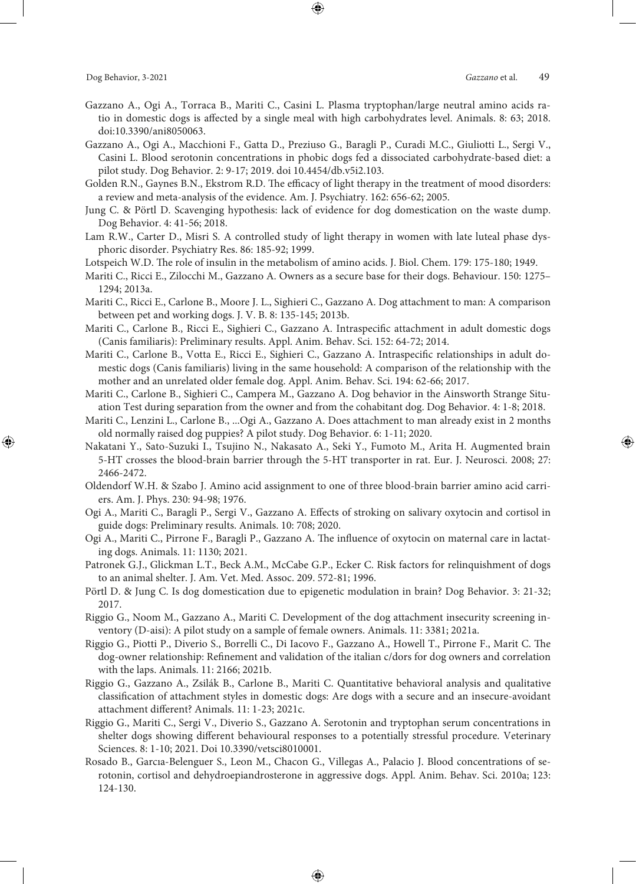- Gazzano A., Ogi A., Torraca B., Mariti C., Casini L. Plasma tryptophan/large neutral amino acids ratio in domestic dogs is affected by a single meal with high carbohydrates level. Animals. 8: 63; 2018. doi:10.3390/ani8050063.
- Gazzano A., Ogi A., Macchioni F., Gatta D., Preziuso G., Baragli P., Curadi M.C., Giuliotti L., Sergi V., Casini L. Blood serotonin concentrations in phobic dogs fed a dissociated carbohydrate-based diet: a pilot study. Dog Behavior. 2: 9-17; 2019. doi 10.4454/db.v5i2.103.
- Golden R.N., Gaynes B.N., Ekstrom R.D. The efficacy of light therapy in the treatment of mood disorders: a review and meta-analysis of the evidence. Am. J. Psychiatry. 162: 656-62; 2005.
- Jung C. & Pörtl D. Scavenging hypothesis: lack of evidence for dog domestication on the waste dump. Dog Behavior. 4: 41-56; 2018.
- Lam R.W., Carter D., Misri S. A controlled study of light therapy in women with late luteal phase dysphoric disorder. Psychiatry Res. 86: 185-92; 1999.
- Lotspeich W.D. The role of insulin in the metabolism of amino acids. J. Biol. Chem. 179: 175-180; 1949.
- Mariti C., Ricci E., Zilocchi M., Gazzano A. Owners as a secure base for their dogs. Behaviour. 150: 1275– 1294; 2013a.
- Mariti C., Ricci E., Carlone B., Moore J. L., Sighieri C., Gazzano A. Dog attachment to man: A comparison between pet and working dogs. J. V. B. 8: 135-145; 2013b.
- Mariti C., Carlone B., Ricci E., Sighieri C., Gazzano A. Intraspecific attachment in adult domestic dogs (Canis familiaris): Preliminary results. Appl. Anim. Behav. Sci. 152: 64-72; 2014.
- Mariti C., Carlone B., Votta E., Ricci E., Sighieri C., Gazzano A. Intraspecific relationships in adult domestic dogs (Canis familiaris) living in the same household: A comparison of the relationship with the mother and an unrelated older female dog. Appl. Anim. Behav. Sci. 194: 62-66; 2017.
- Mariti C., Carlone B., Sighieri C., Campera M., Gazzano A. Dog behavior in the Ainsworth Strange Situation Test during separation from the owner and from the cohabitant dog. Dog Behavior. 4: 1-8; 2018.
- Mariti C., Lenzini L., Carlone B., ...Ogi A., Gazzano A. Does attachment to man already exist in 2 months old normally raised dog puppies? A pilot study. Dog Behavior. 6: 1-11; 2020.
- Nakatani Y., Sato-Suzuki I., Tsujino N., Nakasato A., Seki Y., Fumoto M., Arita H. Augmented brain 5-HT crosses the blood-brain barrier through the 5-HT transporter in rat. Eur. J. Neurosci. 2008; 27: 2466-2472.
- Oldendorf W.H. & Szabo J. Amino acid assignment to one of three blood-brain barrier amino acid carriers. Am. J. Phys. 230: 94-98; 1976.
- Ogi A., Mariti C., Baragli P., Sergi V., Gazzano A. Effects of stroking on salivary oxytocin and cortisol in guide dogs: Preliminary results. Animals. 10: 708; 2020.
- Ogi A., Mariti C., Pirrone F., Baragli P., Gazzano A. The influence of oxytocin on maternal care in lactating dogs. Animals. 11: 1130; 2021.
- Patronek G.J., Glickman L.T., Beck A.M., McCabe G.P., Ecker C. Risk factors for relinquishment of dogs to an animal shelter. J. Am. Vet. Med. Assoc. 209. 572-81; 1996.
- Pörtl D. & Jung C. Is dog domestication due to epigenetic modulation in brain? Dog Behavior. 3: 21-32; 2017.
- Riggio G., Noom M., Gazzano A., Mariti C. Development of the dog attachment insecurity screening inventory (D-aisi): A pilot study on a sample of female owners. Animals. 11: 3381; 2021a.
- Riggio G., Piotti P., Diverio S., Borrelli C., Di Iacovo F., Gazzano A., Howell T., Pirrone F., Marit C. The dog-owner relationship: Refinement and validation of the italian c/dors for dog owners and correlation with the laps. Animals. 11: 2166; 2021b.
- Riggio G., Gazzano A., Zsilák B., Carlone B., Mariti C. Quantitative behavioral analysis and qualitative classification of attachment styles in domestic dogs: Are dogs with a secure and an insecure-avoidant attachment different? Animals. 11: 1-23; 2021c.
- Riggio G., Mariti C., Sergi V., Diverio S., Gazzano A. Serotonin and tryptophan serum concentrations in shelter dogs showing different behavioural responses to a potentially stressful procedure. Veterinary Sciences. 8: 1-10; 2021. Doi 10.3390/vetsci8010001.
- Rosado B., Garcıa-Belenguer S., Leon M., Chacon G., Villegas A., Palacio J. Blood concentrations of serotonin, cortisol and dehydroepiandrosterone in aggressive dogs. Appl. Anim. Behav. Sci. 2010a; 123: 124-130.